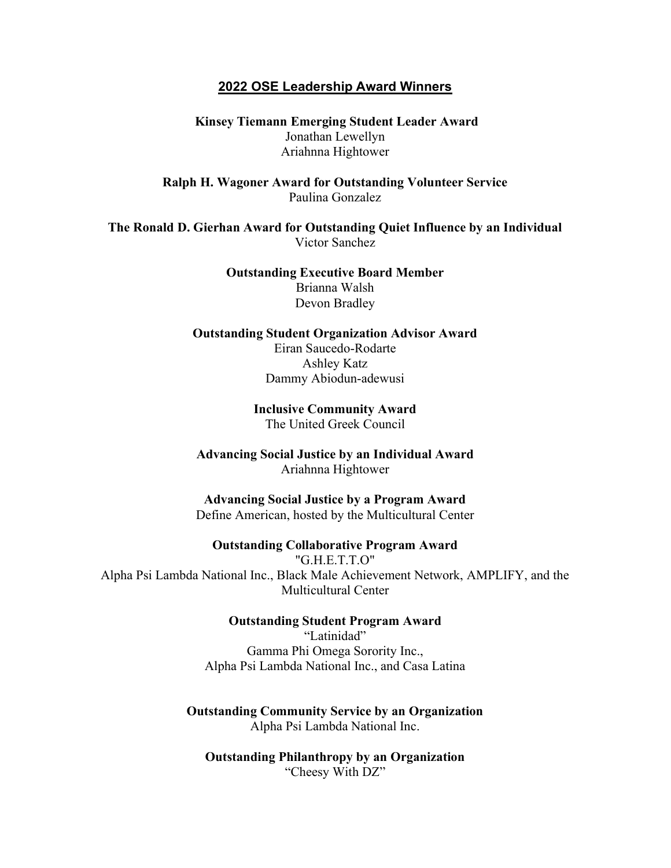## 2022 OSE Leadership Award Winners

 Kinsey Tiemann Emerging Student Leader Award Jonathan Lewellyn Ariahnna Hightower

Ralph H. Wagoner Award for Outstanding Volunteer Service Paulina Gonzalez

The Ronald D. Gierhan Award for Outstanding Quiet Influence by an Individual Victor Sanchez

> Outstanding Executive Board Member Brianna Walsh Devon Bradley

Outstanding Student Organization Advisor Award Eiran Saucedo-Rodarte Ashley Katz Dammy Abiodun-adewusi

> Inclusive Community Award The United Greek Council

Advancing Social Justice by an Individual Award Ariahnna Hightower

Advancing Social Justice by a Program Award Define American, hosted by the Multicultural Center

Outstanding Collaborative Program Award "G.H.E.T.T.O" Alpha Psi Lambda National Inc., Black Male Achievement Network, AMPLIFY, and the Multicultural Center

Outstanding Student Program Award

"Latinidad" Gamma Phi Omega Sorority Inc., Alpha Psi Lambda National Inc., and Casa Latina

Outstanding Community Service by an Organization Alpha Psi Lambda National Inc.

Outstanding Philanthropy by an Organization "Cheesy With DZ"